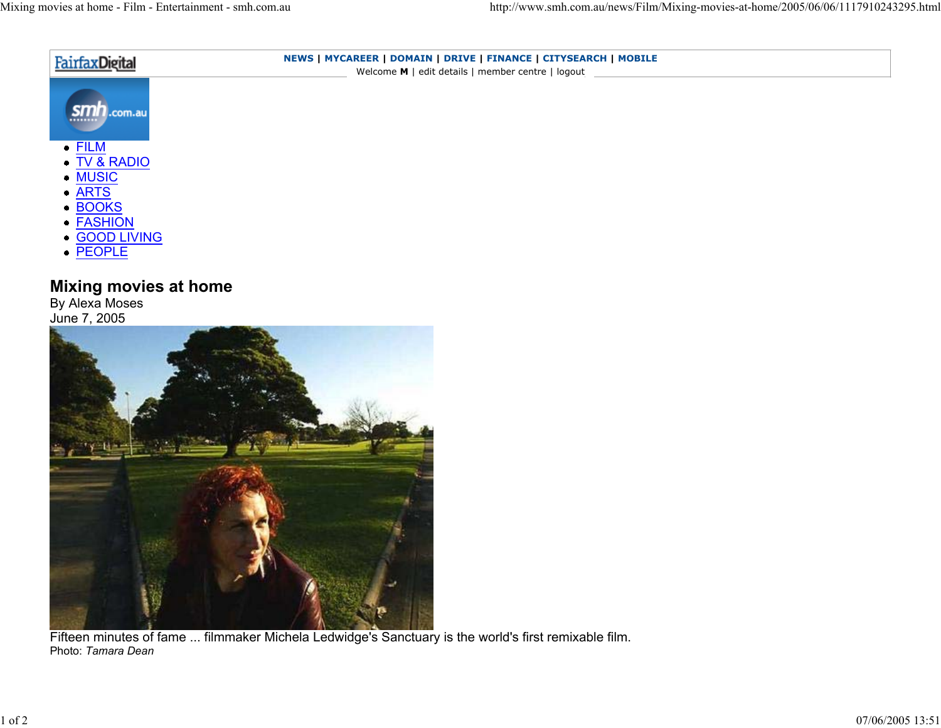| FairfaxDigital | NEWS   MYCAREER   DOMAIN   DRIVE   FINANCE   CITYSEARCH   MOBILE<br>Welcome M   edit details   member centre   logout |  |
|----------------|-----------------------------------------------------------------------------------------------------------------------|--|
| SMn.com.au<br> |                                                                                                                       |  |
| $\bullet$ FILM |                                                                                                                       |  |
| • TV & RADIO   |                                                                                                                       |  |
| • MUSIC        |                                                                                                                       |  |
| $\bullet$ ARTS |                                                                                                                       |  |
| • BOOKS        |                                                                                                                       |  |
| • FASHION      |                                                                                                                       |  |
| • GOOD LIVING  |                                                                                                                       |  |
| • PEOPLE       |                                                                                                                       |  |

## **Mixing movies at home**

By Alexa Moses June 7, 2005



Fifteen minutes of fame ... filmmaker Michela Ledwidge's Sanctuary is the world's first remixable film. Photo: *Tamara Dean*